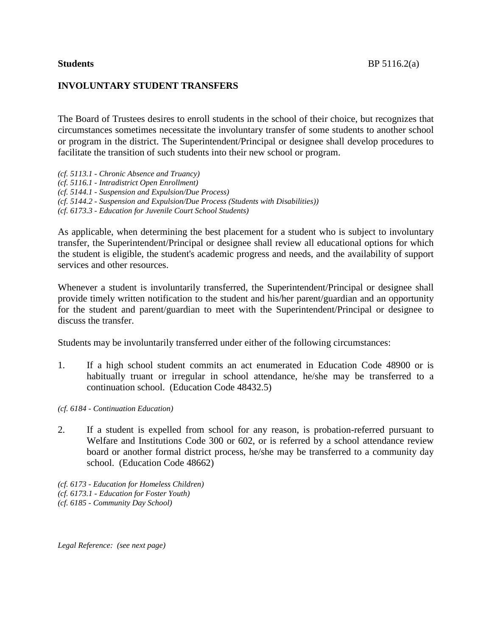## **INVOLUNTARY STUDENT TRANSFERS**

The Board of Trustees desires to enroll students in the school of their choice, but recognizes that circumstances sometimes necessitate the involuntary transfer of some students to another school or program in the district. The Superintendent/Principal or designee shall develop procedures to facilitate the transition of such students into their new school or program.

*(cf. 5113.1 - Chronic Absence and Truancy) (cf. 5116.1 - Intradistrict Open Enrollment) (cf. 5144.1 - Suspension and Expulsion/Due Process) (cf. 5144.2 - Suspension and Expulsion/Due Process (Students with Disabilities)) (cf. 6173.3 - Education for Juvenile Court School Students)*

As applicable, when determining the best placement for a student who is subject to involuntary transfer, the Superintendent/Principal or designee shall review all educational options for which the student is eligible, the student's academic progress and needs, and the availability of support services and other resources.

Whenever a student is involuntarily transferred, the Superintendent/Principal or designee shall provide timely written notification to the student and his/her parent/guardian and an opportunity for the student and parent/guardian to meet with the Superintendent/Principal or designee to discuss the transfer.

Students may be involuntarily transferred under either of the following circumstances:

- 1. If a high school student commits an act enumerated in Education Code 48900 or is habitually truant or irregular in school attendance, he/she may be transferred to a continuation school. (Education Code 48432.5)
- *(cf. 6184 - Continuation Education)*
- 2. If a student is expelled from school for any reason, is probation-referred pursuant to Welfare and Institutions Code 300 or 602, or is referred by a school attendance review board or another formal district process, he/she may be transferred to a community day school. (Education Code 48662)

*(cf. 6173 - Education for Homeless Children) (cf. 6173.1 - Education for Foster Youth) (cf. 6185 - Community Day School)*

*Legal Reference: (see next page)*